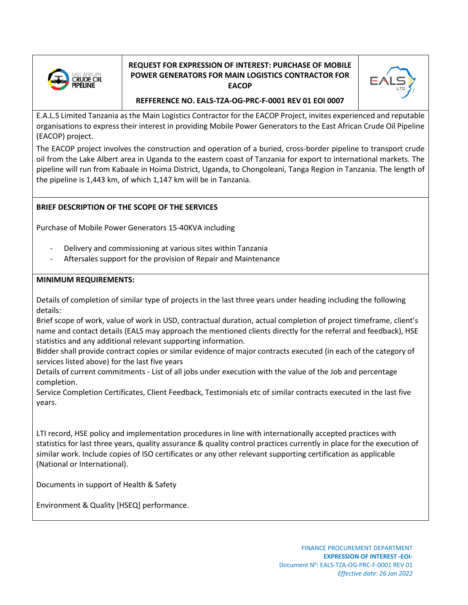

## **REQUEST FOR EXPRESSION OF INTEREST: PURCHASE OF MOBILE POWER GENERATORS FOR MAIN LOGISTICS CONTRACTOR FOR EACOP**



**REFFERENCE NO. EALS-TZA-OG-PRC-F-0001 REV 01 EOI 0007**

E.A.L.S Limited Tanzania as the Main Logistics Contractor for the EACOP Project, invites experienced and reputable organisations to express their interest in providing Mobile Power Generators to the East African Crude Oil Pipeline (EACOP) project.

The EACOP project involves the construction and operation of a buried, cross-border pipeline to transport crude oil from the Lake Albert area in Uganda to the eastern coast of Tanzania for export to international markets. The pipeline will run from Kabaale in Hoima District, Uganda, to Chongoleani, Tanga Region in Tanzania. The length of the pipeline is 1,443 km, of which 1,147 km will be in Tanzania.

## **BRIEF DESCRIPTION OF THE SCOPE OF THE SERVICES**

Purchase of Mobile Power Generators 15-40KVA including

- Delivery and commissioning at various sites within Tanzania
- Aftersales support for the provision of Repair and Maintenance

## **MINIMUM REQUIREMENTS:**

Details of completion of similar type of projects in the last three years under heading including the following details:

Brief scope of work, value of work in USD, contractual duration, actual completion of project timeframe, client's name and contact details (EALS may approach the mentioned clients directly for the referral and feedback), HSE statistics and any additional relevant supporting information.

Bidder shall provide contract copies or similar evidence of major contracts executed (in each of the category of services listed above) for the last five years

Details of current commitments - List of all jobs under execution with the value of the Job and percentage completion.

Service Completion Certificates, Client Feedback, Testimonials etc of similar contracts executed in the last five years.

LTI record, HSE policy and implementation procedures in line with internationally accepted practices with statistics for last three years, quality assurance & quality control practices currently in place for the execution of similar work. Include copies of ISO certificates or any other relevant supporting certification as applicable (National or International).

Documents in support of Health & Safety

Environment & Quality [HSEQ] performance.